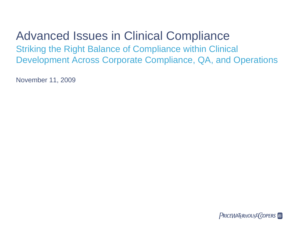# Advanced Issues in Clinical Compliance Striking the Right Balance of Compliance within Clinical Development Across Corporate Compliance, QA, and Operations

November 11, 2009

**PRICEWATERHOUSE COPERS**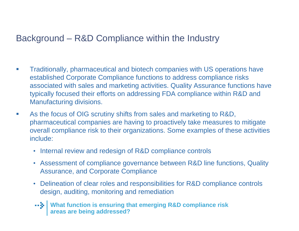### Background – R&D Compliance within the Industry

- $\mathcal{L}$  Traditionally, pharmaceutical and biotech companies with US operations have established Corporate Compliance functions to address compliance risks associated with sales and marketing activities. Quality Assurance functions have typically focused their efforts on addressing FDA compliance within R&D and Manufacturing divisions.
- $\mathcal{C}_{\mathcal{A}}$  As the focus of OIG scrutiny shifts from sales and marketing to R&D, pharmaceutical companies are having to proactively take measures to mitigate overall compliance risk to their organizations. Some examples of these activities include:
	- Internal review and redesign of R&D compliance controls
	- Assessment of compliance governance between R&D line functions, Quality Assurance, and Corporate Compliance
	- Delineation of clear roles and responsibilities for R&D compliance controls design, auditing, monitoring and remediation
	- **What function is ensuring that emerging R&D compliance risk areas are being addressed?**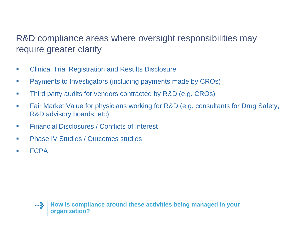## R&D compliance areas where oversight responsibilities may require greater clarity

- $\mathcal{L}$ Clinical Trial Registration and Results Disclosure
- **T** Payments to Investigators (including payments made by CROs)
- $\mathcal{L}_{\mathcal{A}}$ Third party audits for vendors contracted by R&D (e.g. CROs)
- $\mathcal{A}$  Fair Market Value for physicians working for R&D (e.g. consultants for Drug Safety, R&D advisory boards, etc)
- $\mathcal{L}_{\mathcal{A}}$ Financial Disclosures / Conflicts of Interest
- $\mathcal{C}$ Phase IV Studies / Outcomes studies
- $\mathcal{L}_{\mathcal{A}}$ FCPA

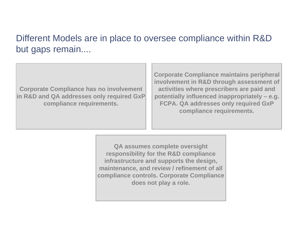### Different Models are in place to oversee compliance within R&D but gaps remain....

**Corporate Compliance has n o involvement in R&D and QA addresses only required GxP compliance requirements.**

**Corporate Compliance maint ains peripheral involvement in R&D through assessment of activities where prescribers are paid and potentially influence d inappropriately – e.g. FCPA. QA addresses only required GxP compliance requirements.**

**QA assumes complete oversig ht responsibility for the R & D compliance infrastructure and supports the design, maintenance, and review / refinement of all compliance controls. Corporate Compliance does not play a role.**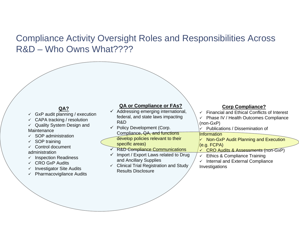### Compliance Activity Oversight Roles and Responsibilities Across R&D – Who Owns What????

### **QA?**

- $\checkmark$  GxP audit planning / execution
- $\checkmark$  CAPA tracking / resolution
- $\checkmark$  Quality System Design and **Maintenance**
- $\checkmark$  SOP administration
- $\checkmark$  SOP training
- $\checkmark$  Control document administration
- $\checkmark$  Inspection Readiness
- $\checkmark$  CRO GxP Audits
- $\checkmark$  Investigator Site Audits
- $\checkmark$  Pharmacovigilance Audits

#### **QA or Compliance or FAs?**

- $\checkmark$  Addressing emerging international, federal, and state laws impacting R&D
- $\checkmark$  Policy Development (Corp. Compliance, QA, and functions develop policies relevant to their specific areas)
- **√ R&D Compliance Communications**
- $\checkmark$  Import / Export Laws related to Drug and Ancillary Supplies
- $\checkmark$  Clinical Trial Registration and Study Results Disclosure

#### **Corp Compliance?**

- $\checkmark$  Financial and Ethical Conflicts of Interest
- $\checkmark$  Phase IV / Health Outcomes Compliance (non-GxP)
- $\checkmark$  Publications / Dissemination of

#### **Information**

- $\checkmark$  Non-GxP Audit Planning and Execution (e.g. FCPA)
- <u>√ CRO Audits & Assessments (non-GxP)</u>
- $\checkmark$ Ethics & Compliance Training
- $\checkmark$  Internal and External Compliance Investigations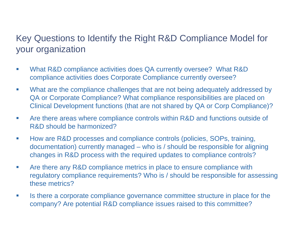### Key Questions to Identify the Right R&D Compliance Model for your organization

- $\mathcal{A}$  What R&D compliance activities does QA currently oversee? What R&D compliance activities does Corporate Compliance currently oversee?
- $\mathcal{L}_{\mathcal{A}}$  What are the compliance challenges that are not being adequately addressed by QA or Corporate Compliance? What compliance responsibilities are placed on Clinical Development functions (that are not shared by QA or Corp Compliance)?
- $\mathcal{C}$  Are there areas where compliance controls within R&D and functions outside of R&D should be harmonized?
- **T**  How are R&D processes and compliance controls (policies, SOPs, training, documentation) currently managed – who is / should be responsible for aligning changes in R&D process with the required updates to compliance controls?
- $\mathcal{C}$  Are there any R&D compliance metrics in place to ensure compliance with regulatory compliance requirements? Who is / should be responsible for assessing these metrics?
- $\mathcal{L}_{\mathcal{A}}$  Is there a corporate compliance governance committee structure in place for the company? Are potential R&D compliance issues raised to this committee?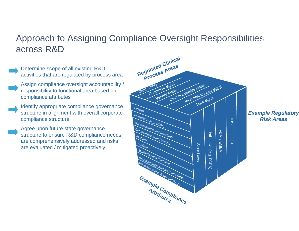### Approach to Assigning Compliance Oversight Responsibilities across R&D

- Determine scope of all existing R&D activities that are regulated by process area Assign compliance oversight accountability / responsibility to functional area based on compliance attributes Identify appropriate compliance governance structure in alignment with overall corporate compliance structure Agree upon future state governance structure to ensure R&D compliance needs
	- are comprehensively addressed and risks are evaluated / mitigated proactively